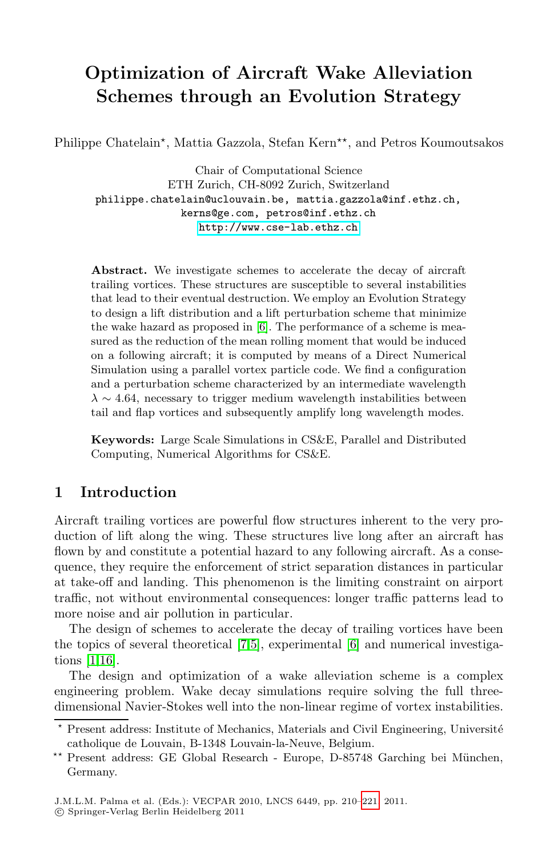# **Optimization of Aircraft Wake Alleviation [Schemes](http://www.cse-lab.ethz.ch) [through](http://www.cse-lab.ethz.ch) an Evolution Strategy**

Philippe Chatelain\*, Mattia Gazzola, Stefan Kern\*\*, and Petros Koumoutsakos

Chair of Computational Science ETH Zurich, CH-8092 Zurich, Switzerland philippe.[ch](#page-10-0)atelain@uclouvain.be, mattia.gazzola@inf.ethz.ch,<br>kerns@ge.com, petros@inf.ethz.ch  $h$ ttn:// $u$ uu cse-lah ethz.ch http://www.cse-lab.ethz.ch

**Abstract.** We investigate schemes to accelerate the decay of aircraft trailing vortices. These structures are susceptible to several instabilities that lead to their eventual destruction. We employ an Evolution Strategy to design a lift distribution and a lift perturbation scheme that minimize the wake hazard as proposed in [6]. The performance of a scheme is measured as the reduction of the mean rolling moment that would be induced on a following aircraft; it is computed by means of a Direct Numerical Simulation using a parallel vortex particle code. We find a configuration and a perturbation scheme characterized by an intermediate wavelength  $\lambda \sim 4.64$ , necessary to trigger medium wavelength instabilities between tail and flap vortices and subsequently amplify long wavelength modes.

**Keywords:** Large Scale Simulations in CS&E, Parallel and Distributed Computing, Numerical Algorithms for CS&E.

# **1 Introduction**

Aircraft traili[n](#page-10-1)[g v](#page-10-2)ortices are po[wer](#page-10-0)ful flow structures inherent to the very production of lift along the wing. These structures live long after an aircraft has flown by and constitute a potential hazard to any following aircraft. As a consequence, they require the enforcement of strict separation distances in particular at take-off and landing. This phenomenon is the limiting constraint on airport traffic, not without environmental consequences: longer traffic patterns lead to more noise and air pollution in particular.

The design of schemes to accelerate the decay of trailing vortices have been the topics of several theoretical [7,5], experimental [6] and numerical investigations [1,16].

The design and optimization [of a](#page-11-0) wake alleviation scheme is a complex engineering problem. Wake decay simulations require solving the full threedimensional Navier-Stokes well into the non-linear regime of vortex instabilities.

 $\star$ Present address: Institute of Mechanics, Materials and Civil Engineering, Université catholique de Louvain, B-1348 Louvain-la-Neuve, Belgium.

 $\star$  $\star$ Present address: GE Global Research - Europe, D-85748 Garching bei München, Germany.

J.M.L.M. Palma et al. (Eds.): VECPAR 2010, LNCS 6449, pp. 210–221, 2011. -c Springer-Verlag Berlin Heidelberg 2011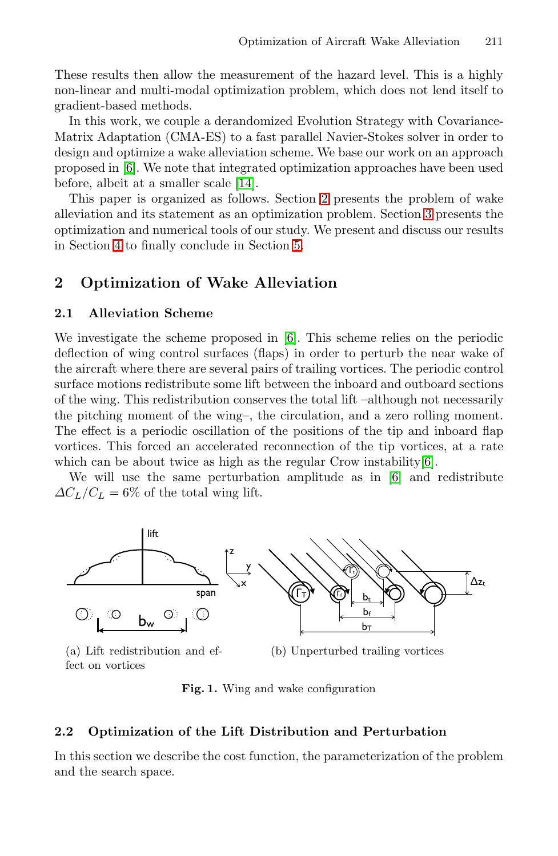These results [the](#page-11-1)n allow th[e m](#page-1-0)easurement of the hazard level. This is a highly non-linear and multi-modal optimization prob[lem](#page-3-0), which does not lend itself to gradient-based methods.

<span id="page-1-0"></span>In this work, we cou[pl](#page-9-0)e a derandomized Evolution Strategy with Covariance-Matrix Adaptation (CMA-ES) to a fast parallel Navier-Stokes solver in order to design and optimize a wake alleviation scheme. We base our work on an approach proposed in [6]. We note that integrated optimization approaches have been used before, albeit at a smaller scale [14].

This paper is organized as follows. Section 2 presents the problem of wake alleviation and its sta[tem](#page-10-0)ent as an optimization problem. Section 3 presents the optimization and numerical tools of our study. We present and discuss our results in Section 4 to finally conclude in Section 5.

# **2 Optimization of Wake Alleviation**

#### **2.1 Alleviation Scheme**

We investigate the scheme proposed in [6]. T[hi](#page-10-0)s scheme relies on the periodic deflection of wing control surfaces (flap[s\)](#page-10-0) in order to perturb the near wake of the aircraft where there are several pairs of trailing vortices. The periodic control surface motions redistribute some lift between the inboard and outboard sections of the wing. This redistribution conserves the total lift –although not necessarily the pitching moment of the wing–, the circulation, and a zero rolling moment. The effect is a periodic oscillation of the positions of the tip and inboard flap vortices. This forced an accelerated reconnection of the tip vortices, at a rate which can be about twice as high as the regular Crow instability [6].

We will use the same perturbation amplitude as in [6] and redistribute  $\Delta C_L/C_L = 6\%$  of the total wing lift.

<span id="page-1-1"></span>

(a) Lift redistribution and effect on vortices

(b) Unperturbed trailing vortices

**Fig. 1.** Wing and wake configuration

#### **2.2 Optimization of the Lift Distribution and Perturbation**

In this section we describe the cost function, the parameterization of the problem and the search space.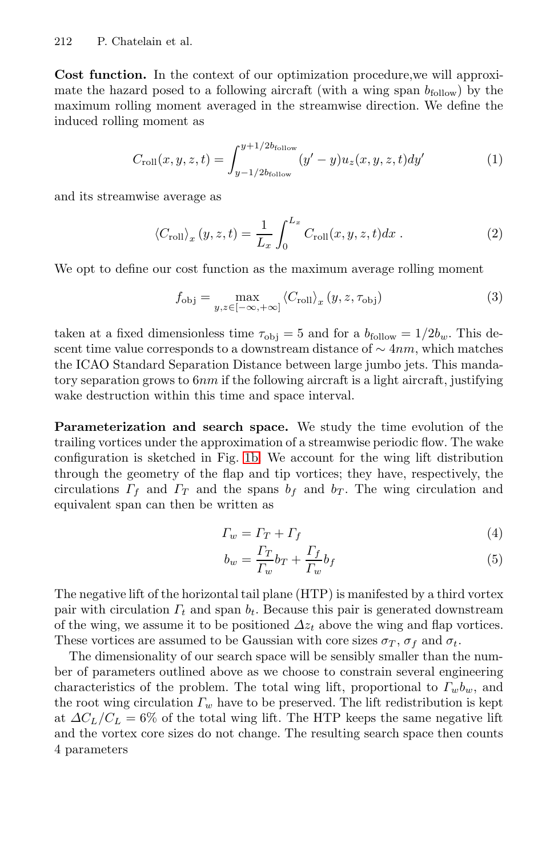**Cost function.** In the context of our optimization procedure,we will approximate the hazard posed to a following aircraft (with a wing span  $b_{\text{follow}}$ ) by the maximum rolling moment averaged in the streamwise direction. We define the induced rolling moment as

$$
C_{\text{roll}}(x, y, z, t) = \int_{y - 1/2b_{\text{follow}}}^{y + 1/2b_{\text{follow}}} (y' - y) u_z(x, y, z, t) dy' \tag{1}
$$

and its streamwise average as

$$
\left\langle C_{\text{roll}} \right\rangle_x (y, z, t) = \frac{1}{L_x} \int_0^{L_x} C_{\text{roll}}(x, y, z, t) dx . \tag{2}
$$

We opt to define our cost function as the maximum average rolling moment

$$
f_{\text{obj}} = \max_{y, z \in [-\infty, +\infty]} \langle C_{\text{roll}} \rangle_x (y, z, \tau_{\text{obj}})
$$
 (3)

taken at a fix[ed d](#page-1-1)imensionless time  $\tau_{\text{obj}} = 5$  and for a  $b_{\text{follow}} = 1/2b_w$ . This descent time value corresponds to a downstream distance of  $\sim 4nm$ , which matches the ICAO Standard Separation Distance between large jumbo jets. This mandatory separation grows to  $6nm$  if the following aircraft is a light aircraft, justifying wake destruction within this time and space interval.

**Parameterization and search space.** We study the time evolution of the trailing vortices under the approximation of a streamwise periodic flow. The wake configuration is sketched in Fig. 1b. We account for the wing lift distribution through the geometry of the flap and tip vortices; they have, respectively, the circulations  $\Gamma_f$  and  $\Gamma_T$  and the spans  $b_f$  and  $b_T$ . The wing circulation and equivalent span can then be written as

$$
\Gamma_w = \Gamma_T + \Gamma_f \tag{4}
$$

$$
b_w = \frac{\Gamma_T}{\Gamma_w} b_T + \frac{\Gamma_f}{\Gamma_w} b_f \tag{5}
$$

The negative lift of the horizontal tail plane (HTP) is manifested by a third vortex pair with circulation  $\Gamma_t$  and span  $b_t$ . Because this pair is generated downstream of the wing, we assume it to be positioned  $\Delta z_t$  above the wing and flap vortices. These vortices are assumed to be Gaussian with core sizes  $\sigma_T$ ,  $\sigma_f$  and  $\sigma_t$ .

The dimensionality of our search space will be sensibly smaller than the number of parameters outlined above as we choose to constrain several engineering characteristics of the problem. The total wing lift, proportional to  $\Gamma_w b_w$ , and the root wing circulation  $\Gamma_w$  have to be preserved. The lift redistribution is kept at  $\Delta C_L/C_L = 6\%$  of the total wing lift. The HTP keeps the same negative lift and the vortex core sizes do not change. The resulting search space then counts 4 parameters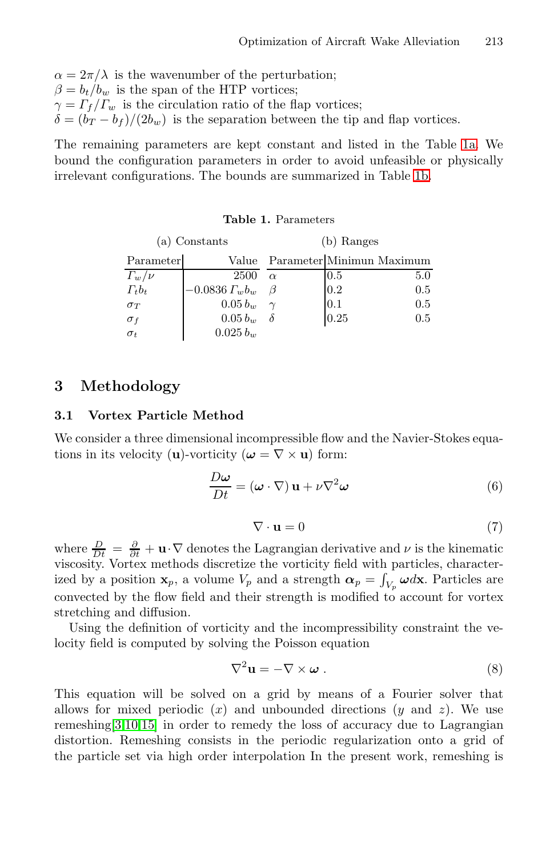$\alpha = 2\pi/\lambda$  is the wavenumber of the perturbation;  $\beta = b_t/b_w$  is the span of the HTP vortices;  $\gamma = \frac{\Gamma_f}{\Gamma_w}$  is the circulation ratio of the flap vortices;  $\delta = (b_T - b_f)/(2b_w)$  is the separation between the tip and flap vortices.

<span id="page-3-0"></span>The remaining parameters are kept constant and listed in the Table 1a. We bound the configuration parameters in order to avoid unfeasible or physically irrelevant configurations. The bounds are summarized in Table 1b.

| Constants |  | (b) Ranges              |  |  |
|-----------|--|-------------------------|--|--|
|           |  | Value Parameter Minimun |  |  |

**Table 1.** Parameters

| Parameter      | Value             | Parameter Minimun Maximum |      |         |
|----------------|-------------------|---------------------------|------|---------|
| $\Gamma_w/\nu$ | 2500              | $\alpha$                  | 0.5  | $5.0\,$ |
| $\Gamma_t b_t$ | $-0.0836 L_w b_w$ |                           | 0.2  | $0.5\,$ |
| $\sigma_T$     | $0.05 b_w$        |                           | 0.1  | $0.5\,$ |
| $\sigma_f$     | $0.05 b_w$        |                           | 0.25 | $0.5\,$ |
| $\sigma_t$     | $0.025 b_w$       |                           |      |         |

# **3 Methodology**

#### **3.1 Vortex Particle Method**

 $(a)$ 

We consider a three dimensional incompressible flow and the Navier-Stokes equations in its velocity (**u**)-vorticity ( $\boldsymbol{\omega} = \nabla \times \mathbf{u}$ ) form:

$$
\frac{D\omega}{Dt} = (\omega \cdot \nabla) \mathbf{u} + \nu \nabla^2 \omega \tag{6}
$$

$$
\nabla \cdot \mathbf{u} = 0 \tag{7}
$$

where  $\frac{D}{Dt} = \frac{\partial}{\partial t} + \mathbf{u} \cdot \nabla$  denotes the Lagrangian derivative and  $\nu$  is the kinematic viscosity. Vortex methods discretize the vorticity field with particles, characterized by a position **x**<sub>p</sub>, a volume  $V_p$  and a strength  $\alpha_p = \int_{V_p} \omega d\mathbf{x}$ . Particles are convected by the flow field and their strength is modified to account for vortex stretching and diffusion.

Using the definition of vorticity and the incompressibility constraint the velocity field is computed by solving the Poisson equation

$$
\nabla^2 \mathbf{u} = -\nabla \times \boldsymbol{\omega} . \tag{8}
$$

This equation will be solved on a grid by means of a Fourier solver that allows for mixed periodic  $(x)$  and unbounded directions  $(y \text{ and } z)$ . We use remeshing[3,10,15] in order to remedy the loss of accuracy due to Lagrangian distortion. Remeshing consists in the periodic regularization onto a grid of the particle set via high order interpolation In the present work, remeshing is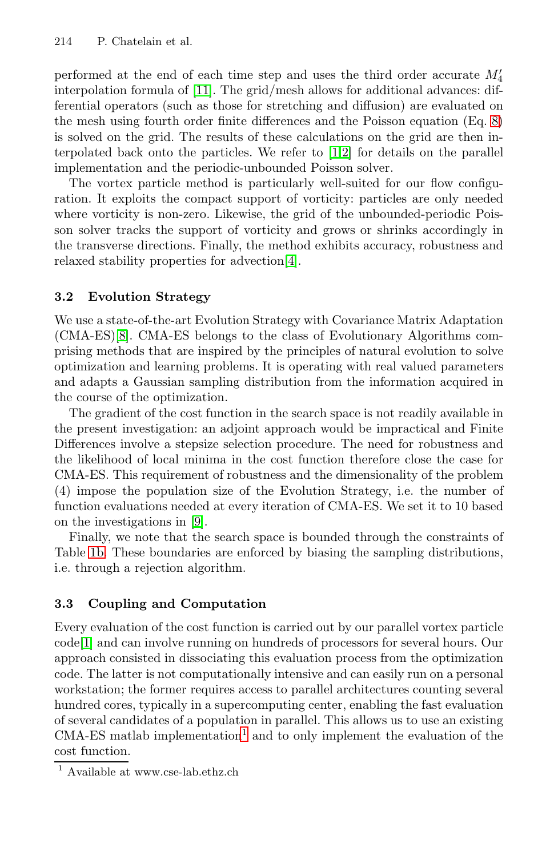performed at the end of each time step and uses the third order accurate  $M_4'$ interpolation formula of [11]. The grid/mesh allows for additional advances: differential operators (such as those for stretching and diffusion) are evaluated on the mesh using fourth order finite differences and the Poisson equation (Eq. 8) is solved on the grid. [Th](#page-10-3)e results of these calculations on the grid are then interpolated back onto the particles. We refer to [1,2] for details on the parallel implementation and the periodic-unbounded Poisson solver.

The vortex particle method is particularly well-suited for our flow configuration. It exploits the compact support of vorticity: particles are only needed where vorticity is non-zero. Likewise, the grid of the unbounded-periodic Poisson solver tracks the support of vorticity and grows or shrinks accordingly in the transverse directions. Finally, the method exhibits accuracy, robustness and relaxed stability properties for advection[4].

## **3.2 Evolution Strategy**

We use a state-of-the-art Evolution Strategy with Covariance Matrix Adaptation (CMA-ES)[8]. CMA-ES belongs to the class of Evolutionary Algorithms comprising methods that are inspired by the principles of natural evolution to solve optimization and learning problems. It is operating with real valued parameters and adapts a Gaussian sampling distribution from the information acquired in the c[ou](#page-10-4)rse of the optimization.

The gradient of the cost function in the search space is not readily available in the present investigation: an adjoint approach would be impractical and Finite Differences involve a stepsize selection procedure. The need for robustness and the likelihood of local minima in the cost function therefore close the case for CMA-ES. This requirement of robustness and the dimensionality of the problem (4) impose the population size of the Evolution Strategy, i.e. the number of function evaluations needed at every iteration of CMA-ES. We set it to 10 based on the investigations in [9].

Finally, we note that the search space is bounded through the constraints of Table 1b. These boundaries are enforced by biasing the sampling distributions, i.e. through a rejection algorithm.

## **3.3 Coupli[ng](#page-4-0) and Computation**

<span id="page-4-0"></span>Every evaluation of the cost function is carried out by our parallel vortex particle code[1] and can involve running on hundreds of processors for several hours. Our approach consisted in dissociating this evaluation process from the optimization code. The latter is not computationally intensive and can easily run on a personal workstation; the former requires access to parallel architectures counting several hundred cores, typically in a supercomputing center, enabling the fast evaluation of several candidates of a population in parallel. This allows us to use an existing  $CMA-ES$  matlab implementation<sup>1</sup> and to only implement the evaluation of the cost function.

<sup>1</sup> Available at www.cse-lab.ethz.ch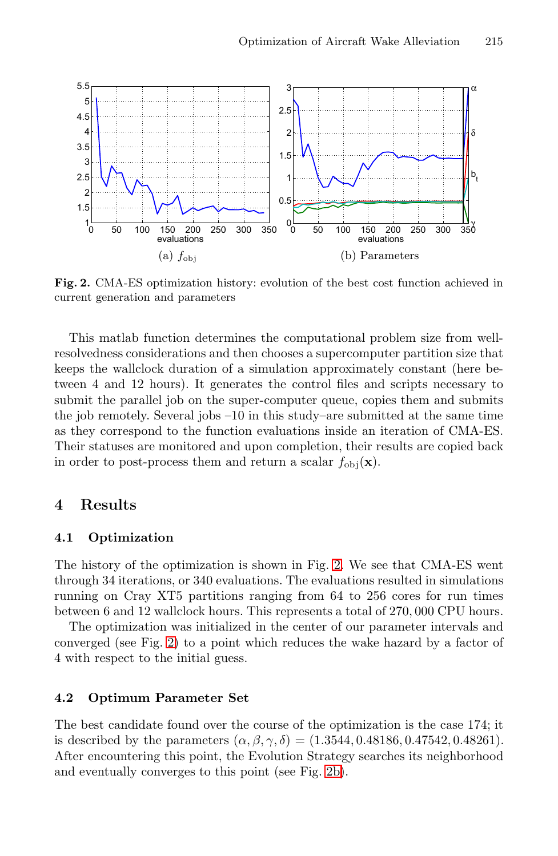<span id="page-5-1"></span><span id="page-5-0"></span>

**Fig. 2.** CMA-ES optimization history: evolution of the best cost function achieved in current generation and parameters

This matlab function determines the computational problem size from wellresolvedness considerations and then chooses a supercomputer partition size that keeps the wallclock duration of a simulation approximately constant (here between 4 and 12 hours). It generates the control files and scripts necessary to submit the parallel job on the super-computer queue, copies them and submits the job remotely. Several jobs –10 in this study–are submitted at the same time as they correspond to the function evaluations inside an iteration of CMA-ES. Their statuses are monitored [and](#page-5-0) upon completion, their results are copied back in order to post-process them and return a scalar  $f_{obj}(\mathbf{x})$ .

## **4 Results**

#### **4.1 Optimization**

The history of the optimization is shown in Fig. 2. We see that CMA-ES went through 34 iterations, or 340 evaluations. The evaluations resulted in simulations running on Cray XT5 partitions ranging from 64 to 256 cores for run times between 6 and 12 wallclock hours. This represents a total of 270, 000 CPU hours.

The optimization was initialized in the center of our parameter intervals and converged (see Fig. 2) to a point which reduces the wake hazard by a factor of 4 with respect to the initial [gues](#page-5-1)s.

## **4.2 Optimum Parameter Set**

The best candidate found over the course of the optimization is the case 174; it is described by the parameters  $(\alpha, \beta, \gamma, \delta) = (1.3544, 0.48186, 0.47542, 0.48261).$ After encountering this point, the Evolution Strategy searches its neighborhood and eventually converges to this point (see Fig. 2b).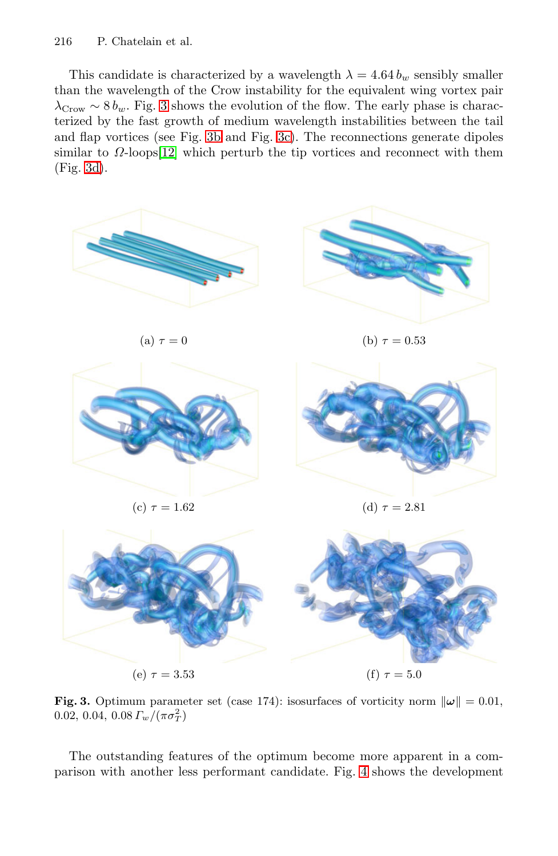This candidate is characterized by a wavelength  $\lambda = 4.64 b_w$  sensibly smaller than the wavelength of the Crow instability for the equivalent wing vortex pair  $\lambda_{\text{Crow}} \sim 8 b_w$ . Fig. 3 shows the evolution of the flow. The early phase is characterized by the fast growth of medium wavelength instabilities between the tail and flap vortices (see Fig. 3b and Fig. 3c). The reconnections generate dipoles similar to  $\Omega$ -loops[12] which perturb the tip vortices and reconnect with them (Fig. 3d).



**Fig. 3.** Optimum parameter set (case 174): isosurfaces of vorticity norm  $\|\omega\| = 0.01$ ,  $0.02,\, 0.04,\, 0.08\, F_w/(\pi\sigma_T^2)$ 

The outstanding features of the optimum become more apparent in a comparison with another less performant candidate. Fig. 4 shows the development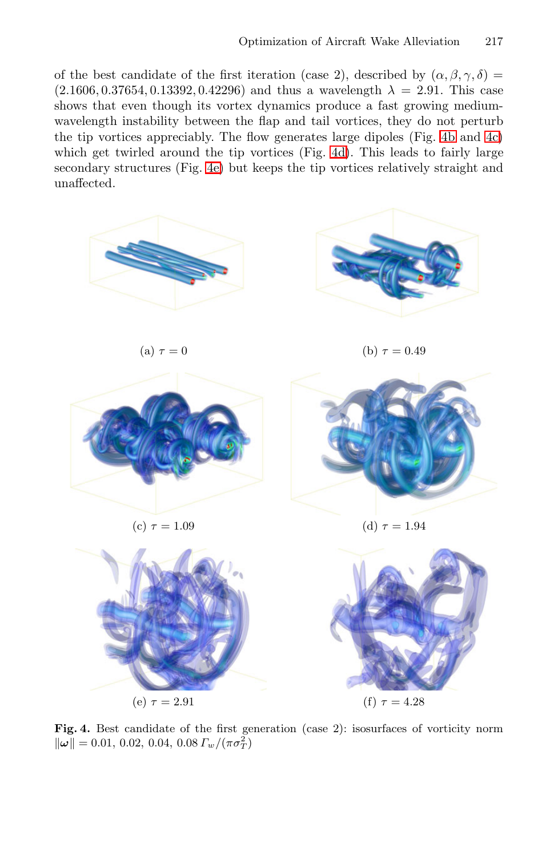of the best candidate of the first iteration (case 2), described by  $(\alpha, \beta, \gamma, \delta)$  =  $(2.1606, 0.37654, 0.13392, 0.42296)$  and thus a wavelength  $\lambda = 2.91$ . This case shows that even though its vortex dynamics produce a fast growing mediumwavelength instability between the flap and tail vortices, they do not perturb the tip vortices appreciably. The flow generates large dipoles (Fig. 4b and 4c) which get twirled around the tip vortices (Fig. 4d). This leads to fairly large secondary structures (Fig. 4e) but keeps the tip vortices relatively straight and unaffected.



<span id="page-7-0"></span>

Fig. 4. Best candidate of the first generation (case 2): isosurfaces of vorticity norm  $\|\boldsymbol{\omega}\| = 0.01, 0.02, 0.04, 0.08 \Gamma_w/(\pi \sigma_T^2)$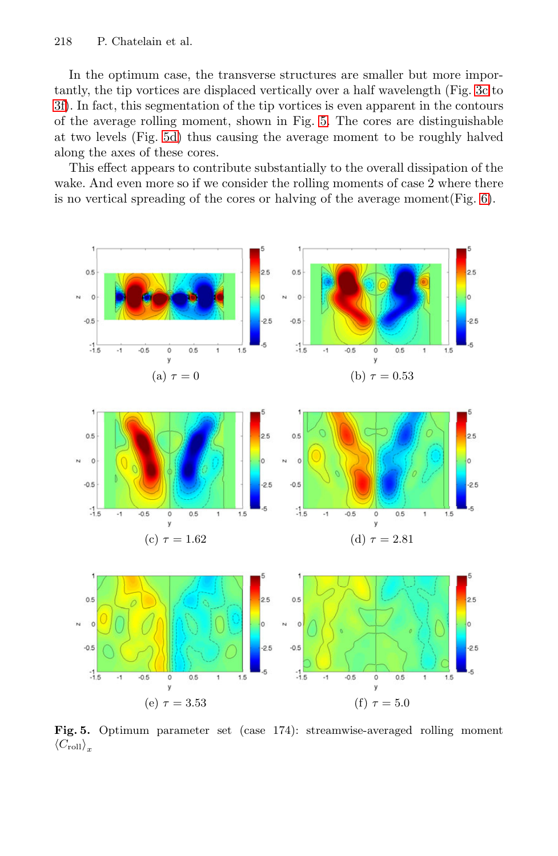In the optimum case, the transverse structures are s[ma](#page-9-1)ller but more importantly, the tip vortices are displaced vertically over a half wavelength (Fig. 3c to 3f). In fact, this segmentation of the tip vortices is even apparent in the contours of the average rolling moment, shown in Fig. 5. The cores are distinguishable at two levels (Fig. 5d) thus causing the average moment to be roughly halved along the axes of these cores.

This effect appears to contribute substantially to the overall dissipation of the wake. And even more so if we consider the rolling moments of case 2 where there is no vertical spreading of the cores or halving of the average moment(Fig. 6).



**Fig. 5.** Optimum parameter set (case 174): streamwise-averaged rolling moment  $\langle C_{\text{roll}} \rangle_x$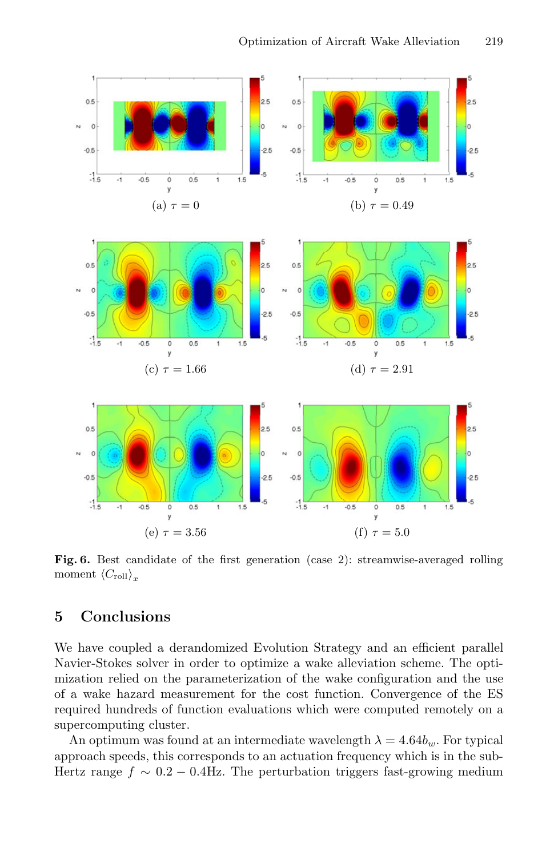<span id="page-9-1"></span>

**Fig. 6.** Best candidate of the first generation (case 2): streamwise-averaged rolling moment  $\langle C_{\text{roll}} \rangle_r$ 

## <span id="page-9-0"></span>**5 Conclusions**

We have coupled a derandomized Evolution Strategy and an efficient parallel Navier-Stokes solver in order to optimize a wake alleviation scheme. The optimization relied on the parameterization of the wake configuration and the use of a wake hazard measurement for the cost function. Convergence of the ES required hundreds of function evaluations which were computed remotely on a supercomputing cluster.

An optimum was found at an intermediate wavelength  $\lambda = 4.64b_w$ . For typical approach speeds, this corresponds to an actuation frequency which is in the sub-Hertz range  $f \sim 0.2 - 0.4$ Hz. The perturbation triggers fast-growing medium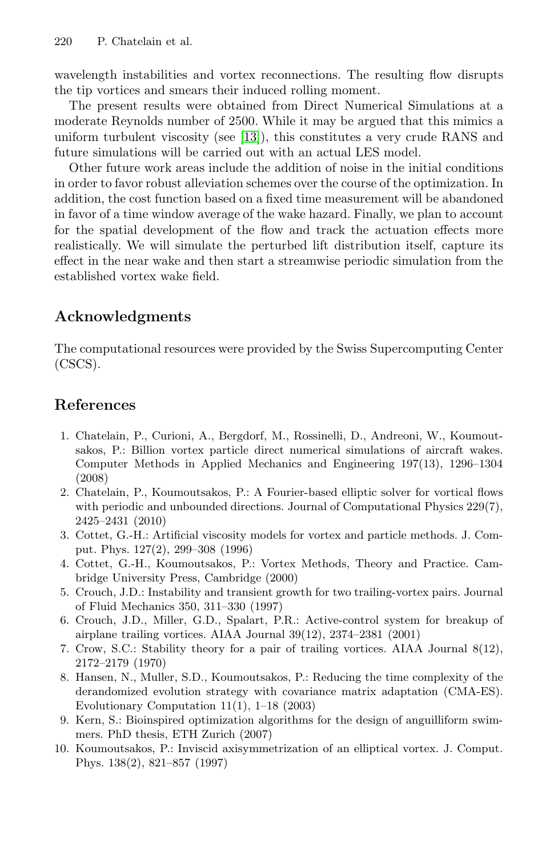wavelength instabilities and vortex reconnections. The resulting flow disrupts the tip vortices and smears their induced rolling moment.

The present results were obtained from Direct Numerical Simulations at a moderate Reynolds number of 2500. While it may be argued that this mimics a uniform turbulent viscosity (see [13]), this constitutes a very crude RANS and future simulations will be carried out with an actual LES model.

Other future work areas include the addition of noise in the initial conditions in order to favor robust alleviation schemes over the course of the optimization. In addition, the cost function based on a fixed time measurement will be abandoned in favor of a time window average of the wake hazard. Finally, we plan to account for the spatial development of the flow and track the actuation effects more realistically. We will simulate the perturbed lift distribution itself, capture its effect in the near wake and then start a streamwise periodic simulation from the established vortex wake field.

## **Acknowledgments**

The computational resources were provided by the Swiss Supercomputing Center (CSCS).

## <span id="page-10-3"></span>**References**

- <span id="page-10-2"></span>1. Chatelain, P., Curioni, A., Bergdorf, M., Rossinelli, D., Andreoni, W., Koumoutsakos, P.: Billion vortex particle direct numerical simulations of aircraft wakes. Computer Methods in Applied Mechanics and Engineering 197(13), 1296–1304 (2008)
- <span id="page-10-0"></span>2. Chatelain, P., Koumoutsakos, P.: A Fourier-based elliptic solver for vortical flows with periodic and unbounded directions. Journal of Computational Physics 229(7), 2425–2431 (2010)
- <span id="page-10-1"></span>3. Cottet, G.-H.: Artificial viscosity models for vortex and particle methods. J. Comput. Phys. 127(2), 299–308 (1996)
- 4. Cottet, G.-H., Koumoutsakos, P.: Vortex Methods, Theory and Practice. Cambridge University Press, Cambridge (2000)
- <span id="page-10-4"></span>5. Crouch, J.D.: Instability and transient growth for two trailing-vortex pairs. Journal of Fluid Mechanics 350, 311–330 (1997)
- 6. Crouch, J.D., Miller, G.D., Spalart, P.R.: Active-control system for breakup of airplane trailing vortices. AIAA Journal 39(12), 2374–2381 (2001)
- 7. Crow, S.C.: Stability theory for a pair of trailing vortices. AIAA Journal 8(12), 2172–2179 (1970)
- 8. Hansen, N., Muller, S.D., Koumoutsakos, P.: Reducing the time complexity of the derandomized evolution strategy with covariance matrix adaptation (CMA-ES). Evolutionary Computation 11(1), 1–18 (2003)
- 9. Kern, S.: Bioinspired optimization algorithms for the design of anguilliform swimmers. PhD thesis, ETH Zurich (2007)
- 10. Koumoutsakos, P.: Inviscid axisymmetrization of an elliptical vortex. J. Comput. Phys. 138(2), 821–857 (1997)